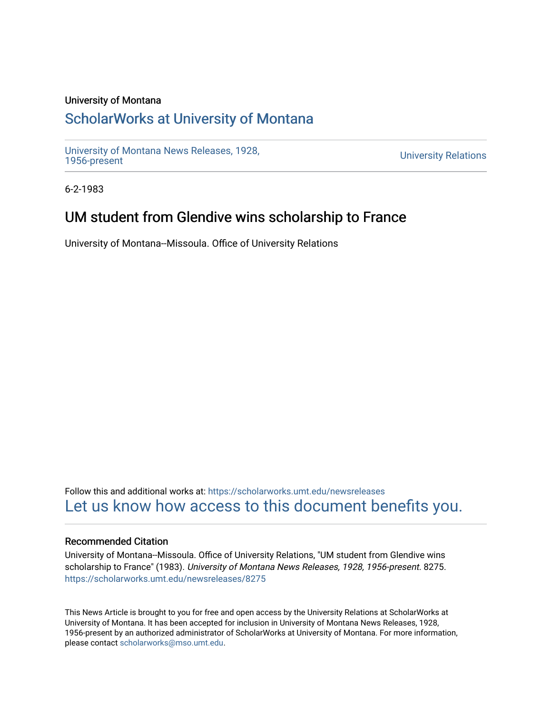## University of Montana

## [ScholarWorks at University of Montana](https://scholarworks.umt.edu/)

[University of Montana News Releases, 1928,](https://scholarworks.umt.edu/newsreleases) 

**University Relations** 

6-2-1983

## UM student from Glendive wins scholarship to France

University of Montana--Missoula. Office of University Relations

Follow this and additional works at: [https://scholarworks.umt.edu/newsreleases](https://scholarworks.umt.edu/newsreleases?utm_source=scholarworks.umt.edu%2Fnewsreleases%2F8275&utm_medium=PDF&utm_campaign=PDFCoverPages) [Let us know how access to this document benefits you.](https://goo.gl/forms/s2rGfXOLzz71qgsB2) 

## Recommended Citation

University of Montana--Missoula. Office of University Relations, "UM student from Glendive wins scholarship to France" (1983). University of Montana News Releases, 1928, 1956-present. 8275. [https://scholarworks.umt.edu/newsreleases/8275](https://scholarworks.umt.edu/newsreleases/8275?utm_source=scholarworks.umt.edu%2Fnewsreleases%2F8275&utm_medium=PDF&utm_campaign=PDFCoverPages) 

This News Article is brought to you for free and open access by the University Relations at ScholarWorks at University of Montana. It has been accepted for inclusion in University of Montana News Releases, 1928, 1956-present by an authorized administrator of ScholarWorks at University of Montana. For more information, please contact [scholarworks@mso.umt.edu.](mailto:scholarworks@mso.umt.edu)